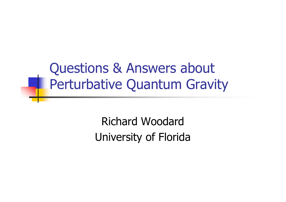Questions & Answers aboutPerturbative Quantum Gravity

> Richard WoodardUniversity of Florida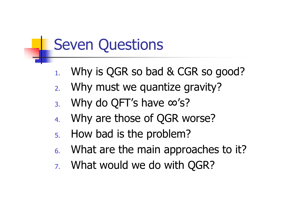### Seven Questions

- 1.Why is QGR so bad & CGR so good?
- 2.Why must we quantize gravity?
- 3.Why do QFT's have ∞'s?
- 4.Why are those of QGR worse?
- 5.How bad is the problem?
- 6. What are the main approaches to it?
- 7. What would we do with QGR?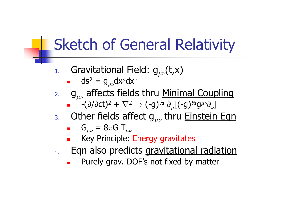### Sketch of General Relativity

- 1.Gravitational Field:  $g_{\mu\nu}$ (t,x)
	- o,  $\bullet \quad \mathsf{d} \mathsf{s}^2 = \mathsf{g}_{\mu\nu} \mathsf{d} \mathsf{x}^\mu \mathsf{d} \mathsf{x}^\nu$
- 2.  $g_{\mu\nu}$  affects fields thru <u>Minimal Coupling</u>
	- o, ■  $-(\partial/\partial ct)^2 + \nabla^2$  $\sigma^2 \rightarrow$  (-g)<sup>1/2</sup>  $\partial_\mu$ [(-g)<sup>1/2</sup>g<sup> $\mu\nu$ </sup> $\partial_\nu$ ]<br>Efect a thru Finstein
- . Other fields affect  $g_{\mu\nu}$  thru Einstein Eqn 3.

$$
\bullet \quad G_{\mu\nu} = 8\pi G \; T_{\mu\nu}
$$

- Key Principle: Energy gravitates<br>Fan also predicts gravitationa o,
- 4.**Eqn also predicts <u>gravitational radiation.</u>**<br>Purely gray, DOF's not fixed by matter.
	- $\mathbf{r}$ Purely grav. DOF's not fixed by matter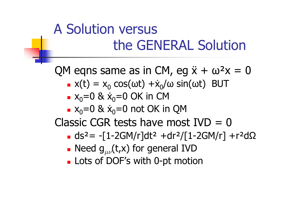### A Solution versusthe GENERAL Solution

QM eqns same as in CM, eq  $\ddot{x} + \omega^2 x = 0$ 

- $\blacksquare$  $\bullet x(t) = x_0$  $_{0}$  cos(ωt) + $\dot{x}_{0}/$ ω sin(ωt) BUT<br>v =ΩΩK in CM
- x0=0 & ẋ0=0 OK in CM
- $\bullet$  x<sub>0</sub>=0 & x<sub>0</sub>=0 not OK in QM

Classic CGR tests have most IVD = 0

× • ds<sup>2</sup>= -[1-2GM/r]dt<sup>2</sup> +dr<sup>2</sup>/[1-2GM/r] +r<sup>2</sup>dΩ<br>- Need a. (t.x) for general IVD

- **.** Need  $g_{\mu\nu}(t,x)$  for general IVD
- $\blacksquare$ Lots of DOF's with 0-pt motion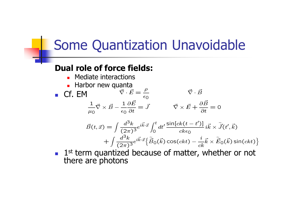### Some Quantization Unavoidable

#### **Dual role of force fields:**

- L. **•** Mediate interactions
- **Harbor new quanta Harbor new quanta**

×

■ Cf. EM $\vec{\nabla} \cdot I$  $\vec{\nabla}\cdot\vec{E}=\frac{\rho}{\epsilon_0}$  $1 \rightarrow \rightarrow \quad 1 \ \partial \vec{E}$  $\vec{\nabla} \cdot \vec{B}$  $\frac{\texttt{-}}{\mu_\text{O}}\vec{\nabla}\times\vec{B}$ 1 $\epsilon_{\rm O}$ ∂ $\frac{\partial \vec{E}}{\partial t} =$  $\vec{J} \qquad \qquad \vec{\nabla} \times \vec{E} +$ ∂ $\frac{\partial \vec{B}}{\partial t}=0$ 

$$
\vec{B}(t,\vec{x}) = \int \frac{d^3k}{(2\pi)^3} e^{i\vec{k}\cdot\vec{x}} \int_0^t dt' \frac{\sin[ck(t-t')] }{ck\epsilon_0} i\vec{k} \times \tilde{\vec{J}}(t',\vec{k}) \n+ \int \frac{d^3k}{(2\pi)^3} e^{i\vec{k}\cdot\vec{x}} \Big\{ \tilde{\vec{B}}_0(\vec{k}) \cos(ckt) - \frac{i}{ck}\vec{k} \times \tilde{\vec{E}}_0(\vec{k}) \sin(ckt) \Big\}
$$

 $\blacksquare$  1st term quantized because of matter, whether or not there are photons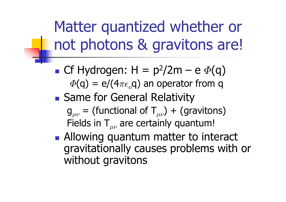Matter quantized whether or not photons & gravitons are!

- **Service Service Cf Hydrogen:**  $H = p^2/2m - e \Phi(q)$ <br> $\Phi(q) = \frac{\Phi(q)}{q}$  $\varPhi(\mathsf{q})=\mathsf{e}/(4\pi\epsilon_{\mathrm{o}}\mathsf{q})$  an operator from  $\mathsf{q}$
- **Same for General Relativity** 
	- $\boldsymbol{\mathsf{g}}_{\mu\nu}$  = (functional of  $\boldsymbol{\mathsf{T}}_{\mu\nu})$  + (gravitons) Fields in  $\mathsf{T}_{\mu\nu}$  are certainly quantum!
- **Allowing quantum matter to interact** gravitationally causes problems with or without gravitons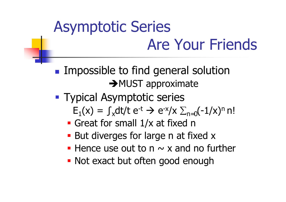# Asymptotic Series Are Your Friends

**Service Service Impossible to find general solution** → MUST approximate

- **Typical Asymptotic series** 
	- $E_1(x) = \int_x dt/t e^{-t} \rightarrow e^{-x}/x \sum_{n=0} (-1/x)^n n!$
	- the contract of the contract of the contract of the contract of the contract of the contract of the contract of **Great for small 1/x at fixed n**
	- **But diverges for large n at fixed x**
	- Hence use out to  $n \sim x$  and no further
	- **Not exact but often good enough**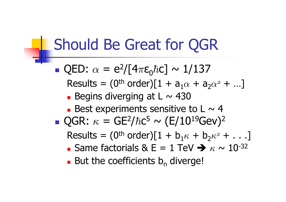### Should Be Great for QGR

 QED:  $\alpha = e^2/[4\pi \epsilon_0 \hbar c] \sim 1/137$ Results =  $(0^{\text{th}} \text{ order})[1 + a_1\alpha + a_2]$  $\sim$   $\sim$  $_2\alpha^2$  +  $...]$ × **Begins diverging at L**  $\sim$  430 **Best experiments sensitive to L**  $\sim$  **4 Service Service** ■ QGR:  $\kappa$  $\kappa = \mathsf{GE}^2$  $^{2}/\hbar c^{5} \sim (\textrm{E}/10^{19} \textrm{GeV})^{2}$  $\sf Results = (0^{th} \ order)[1 + b_1 \kappa]$   $\kappa$  + b  $_2\kappa^2$  +  $\ldots]$ **-** Same factorials & E = 1 TeV  $\rightarrow \kappa$  $\blacksquare$  Dul liie lueililieilis D. Uiverui  $\kappa \sim 10^{-32}$  $\blacksquare$  But the coefficients  $\mathsf{b}_\mathsf{n}$ <sub>n</sub> diverge!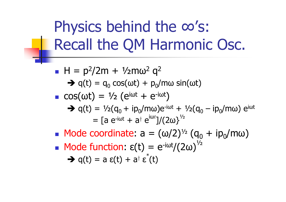### Physics behind the ∞'s: Recall the QM Harmonic Osc.

 $H = p<sup>2</sup>/2m + \frac{1}{2}m\omega^2$  $\Rightarrow q(t) = q_0 \cos(\omega t) + p_0$  $2 q<sup>2</sup>$ 0 $\sigma_0 \cos(\omega t) + \frac{p_0}{m\omega} \sin(\omega t)$  $\cos(\omega t) = \frac{1}{2} \left( e^{i\omega t} + e^{-i\omega t} \right)$  $\rightarrow$  q(t) = 1/2(q<sub>0</sub> + ip<sub>0</sub>/mω)e<sup>-iωt</sup> + 1/2(q<sub>0</sub><br>= 5.0<sup>-iωt</sup> + 2<sup>t</sup> 0<sup>iωt</sup>1/(2ω)<sup>1/2</sup>  $_{0}$  – ip $_{0}$ /mω) e<sup>iωt</sup>  $=$  [a e<sup>-iωt</sup> + a $^\dagger$  e $\overset{\mathsf{i}\omega}{ }$ ]/(2ω} $^{\text{V}_2}$ **Mode coordinate:**  $a = (\omega/2)^{1/2} (q_0)$ <br>Mode function:  $q^{(+)} = e^{i(\omega t / 2 \pi)^{1/2}}$  $_{\rm 0}^{\rm 0}$  + ip $_{\rm 0}^{\rm 0}$ /mω) T. ■ Mode function:  $\epsilon(t) = e^{-i\omega t}/(2\omega)^{1/2}$ 

 $\rightarrow$  q(t) = a  $\varepsilon$ (t) + a<sup>†</sup>  $\varepsilon^*(t)$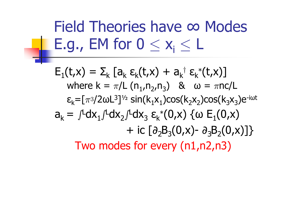Field Theories have ∞ Modes E.g., EM for  $0 \leq x_{i} \leq L$ 

 $\mathsf{E}_1(\mathsf{t},\mathsf{x}) = \mathsf{\Sigma}_{\mathsf{k}}$ where  $k = \pi/L (n_1, n_2, n_3)$  &  $\omega = \pi n c/L$  $_k$  [a  $_{k}$  ε $_{k}$ (t,x) + a $_{k}$  $\dagger$  ε<sub>k</sub>\*(t,x)] ε $_{\mathsf{k}}$ =[ $\pi$ 3/2ωL<sup>3</sup>  $^{3}]^{\gamma_{2}}$  sin(k $_{1}$ x $_{1})$ cos(k $_{2}$ x $_{2})$ cos(k $_{3}$ x $_{3})$ e<sup>-iωt</sup>  $a_k =$  $\int^{\mathsf{L}}$ dx $_1$ ∫ $^{\mathsf{L}}$ dx $_2$ ∫ $^{\mathsf{L}}$ dx $_3$  ε $_{\mathsf{K}}$  $*(0,x)$  {ω  $E_1(0,x)$  $+$  ic  $\left[\partial_{2}\right]$  $\mathsf{B}_3(\mathsf{0},\mathsf{x})$ -  $\partial_3$  $\mathsf{B}_2(\mathsf{0},\mathsf{x})]\}$ Two modes for every (n1,n2,n3)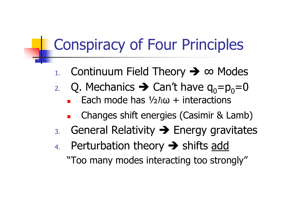### Conspiracy of Four Principles

- 1.Continuum Field Theory  $\rightarrow \infty$  Modes
- 2. Q. Mechanics  $\rightarrow$  Can't have  $q_0=p_0=0$ <br>
Fach mode has 1/2  $\hbar \omega$  + interactions
	- **Each mode has**  $\frac{1}{2}\hbar\omega$  **+ interactions**
	- **Changes shift energies (Casimir & Lamb)**<br>Cases and Dalati its A Fession assemitate  $\blacksquare$
- B. General Relativity  $\rightarrow$  Energy gravitates
- 4.Perturbation theory **>>** shifts <u>add</u><br>"Too many modes interacting too stron "Too many modes interacting too strongly"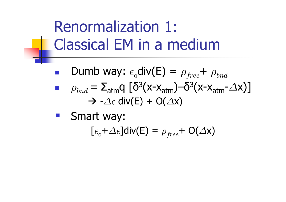### Renormalization 1:Classical EM in a medium

 $\mathcal{L}_{\mathcal{A}}$ **Dumb way:**  $\epsilon$  $_{_{0}}$ div(E) =  $\rho_{free}$ +  $\rho_{bnd}$ **Service Service**  $\rho_{bnd}^{} = \, \Sigma_{\mathsf{atm}}^{}$ q [δ $^3$ (x-x $_{\mathsf{atm}}^{}$ )–δ $^3$ (x-x $_{\mathsf{atm}}$  $\rightarrow$  - $\Delta \epsilon$  div(E) + O( $\Delta$ x) - $\triangle \mathsf{x})$ ]

**Smart way:**  $[\epsilon_{_0} + \Delta \epsilon]$ div $(\mathsf{E}) = \rho_{free}$ + O $(\Delta \mathsf{x})$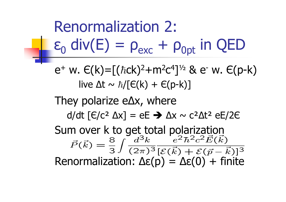Renormalization 2:ε0 $_0$  div(E) =  $\rho_{\text{exc}} + \rho_{\text{opt}}$  in QED  $\mathsf{e}^+$  w.  $\mathsf{E}(\mathsf{k})\mathsf{=}\left[(\hbar\mathsf{c}\mathsf{k})^2\mathsf{+}\mathsf{m}^2\right]$ live  $\Delta$ t ~  $\hbar/[\in$ (k) +  $\in$ (p-k)]  $^{2}$ C $^{4}$  $4$ ]½ & e<sup>-</sup> w.  $\in$ (p-k) They polarize e∆x, whered/dt [∈/c² ∆x] = eE → ∆x ~ c²∆t² eE/2∈ Sum over k to get total polarization $\vec{P}(\vec{k}) = \frac{8}{3} \int \frac{d\vec{k}}{(2\pi)^3} \frac{e}{\left[\mathcal{E}(\vec{k}) + \mathcal{E}(\vec{n})\right]}$ Renormalization: ∆ε(p) = ∆ε(0) + finite 8 $\frac{8}{3}\int \frac{d}{2}$ 3၁ $k\,$  $(2\pi)^3$  $\bm{e}$ 2 ${}^{\angle} \hbar$ 2 $-c$ 2 ${}^2\vec{E}($  $\vec{k}$  $\frac{e^2\hbar^2c^2E(k)}{E(\vec{k})+\mathcal{E}(\vec{p}-\vec{k})}$  $\mathbf{a}$  $\vec{k})]^{3}$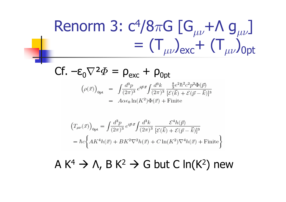### Renorm 3: c 4/8 $\pi$ G  $[G_{\mu\nu}$ +Λ  $g_{\mu\nu}]$ <br>T ) + (T )  $=(\mathsf{T}_{\mu\nu})_{\text{exc}}+$   $(\mathsf{T}_{\mu\nu})_{\text{Opt}}$

$$
\begin{array}{ll}\n\mathsf{C}\mathsf{f.} & -\mathsf{E}_{0}\nabla^{2}\Phi = \mathsf{p}_{\mathsf{exc}} + \mathsf{p}_{\mathsf{Opt}} \\
(\rho(\vec{x}))_{\mathsf{opt}} &= \int \frac{d^{3}p}{(2\pi)^{3}} e^{i\vec{p}\cdot\vec{x}} \int \frac{d^{3}k}{(2\pi)^{3}} \frac{\frac{8}{3}e^{2}\hbar^{2}c^{2}p^{2}\Phi(\vec{p})}{[\mathcal{E}(\vec{k}) + \mathcal{E}(\vec{p} - \vec{k})]^{3}} \\
&= A\alpha\epsilon_{0} \ln(K^{2})\Phi(\vec{x}) + \text{Finite}\n\end{array}
$$

$$
\begin{split} &\left(T_{\mu\nu}(\vec{x})\right)_{0\text{pt}}=\int\!\!\frac{d^{3}p}{(2\pi)^{3}}\,e^{i\vec{p}\cdot\vec{x}}\!\int\!\!\frac{d^{3}k}{(2\pi)^{3}}\frac{\mathcal{E}^{4}h(\vec{p})}{[\mathcal{E}(\vec{k})+\mathcal{E}(\vec{p}-\vec{k})]^{3}} \\ &=\hbar c\biggl\{AK^{4}h(\vec{x})+BK^{2}\nabla^{2}h(\vec{x})+C\ln(K^{2})\nabla^{4}h(\vec{x})+\text{Finite}\biggr\} \end{split}
$$

#### $\mathsf{A} \,\, \mathsf{K}^{\mathsf{4}}$  $^4$   $\rightarrow$  Λ, Β Κ<sup>2</sup>  $2 \rightarrow G$  but C ln(K<sup>2</sup>) new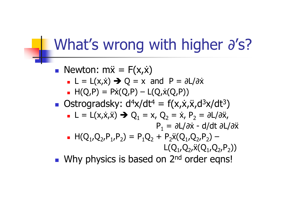### What's wrong with higher ∂'s?

Newton:  $m\ddot{x} = F(x, \dot{x})$ <br>Department of  $F(x, \dot{x}) \Rightarrow 0 = x$ 

- o, **L** = L(x,x)  $\rightarrow$  Q = x and P =  $\partial$ L/ $\partial$ x <br>- H( $\cap$  P) = Py( $\cap$  P) = L( $\cap$  y( $\cap$  P))
- o,  $H(Q, P) = P\dot{x}(Q, P) - L(Q, \dot{x}(Q, P))$
- **Ostrogradsky:**  $d^4x/dt^4 = f(x,x,z)d^3x/dt^3$  $\binom{3}{ }$ 
	- the contract of the contract of the contract of the contract of the contract of the contract of the contract of o,  $\blacksquare$  L = L(x,x,x)  $\rightarrow$  Q<sub>1</sub>  $_{1} = x, Q$  $P_1 = \partial L / \partial \dot{x}$  - d/dt  $\partial L / \partial \ddot{x}$ 2 $_2 = \dot{x}$ , P  $_2 = \partial L / \partial \ddot{x}$ ,
	- o,  $H(Q_1,Q_2,P_1,P_2) = P_1Q_2$  $_2$  + P<sub>2</sub> $\ddot{\mathsf{x}}$ (Q<sub>1</sub>,Q<sub>2</sub>,P<sub>2</sub>) –  $\mathsf{L}(\mathsf{Q}_1, \mathsf{Q}_2, \ddot{\mathsf{x}}(\mathsf{Q}_1, \mathsf{Q}_2, \mathsf{P}_2))$
- and the state of the state of the state of the state of the state of the state of the state of the state of the Why physics is based on 2<sup>nd</sup> order eqns!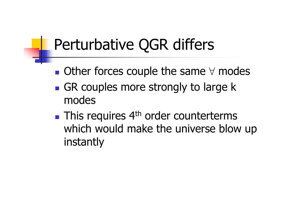### Perturbative QGR differs

- **Service Service**  $\blacksquare$  Other forces couple the same  $\forall$  modes
- **GR couples more strongly to large k** modes
- **Service Service**  $\blacksquare$  This requires  $4^{\text{th}}$  order counterterms which would make the universe blow up instantly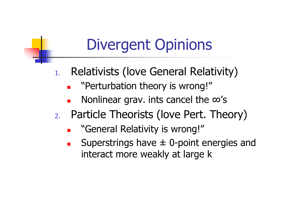### Divergent Opinions

- 1. Relativists (love General Relativity)
	- "Perturbation theory is wrong!"
	- Nonlinear grav. ints cancel the  $\infty$ 's
- 2. Particle Theorists (love Pert. Theory)
	- $\blacksquare$ "General Relativity is wrong!"
	- Superstrings have  $\pm$  0-point energies and interact more weakly at large k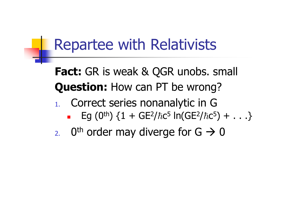### Repartee with Relativists

**Fact:** GR is weak & QGR unobs. small **Question:** How can PT be wrong?

- 1. Correct series nonanalytic in G
	- $\blacksquare$ Eg  $(0^{th})$   $\{1 + \text{GE}^2$  $^{2}/\hbar$ c $^{5}$  ln(GE $^{2}$  $^{2}/\hbar c^{5}) + ... \}$
- 2. O<sup>th</sup> order may diverge for  $G \rightarrow 0$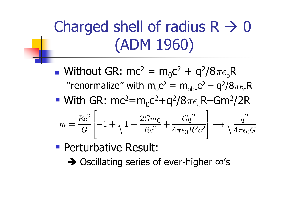# Charged shell of radius  $R \rightarrow 0$ (ADM 1960)

**Service Service N** Without GR: mc<sup>2</sup> = m<sub>0</sub>c<sup>2</sup> + q<sup>2</sup>/8 $\pi\epsilon$ <sub>o</sub> "renormalize" with  $m_0 c^2 = m_{obs} c^2 - q^2 / 8$ R $_{0}c^{2} = m_{obs}c^{2} - q^{2}/8\pi\epsilon_{0}R$ 

■ With GR: mc<sup>2</sup>=m  $_0$ c $^2$ +q $^2/8\pi\epsilon_{_{0}}$ R–Gm $^2/2$ R

$$
m = \frac{Rc^2}{G} \left[ -1 + \sqrt{1 + \frac{2Gm_0}{Rc^2} + \frac{Gq^2}{4\pi\epsilon_0 R^2 c^2}} \right] \longrightarrow \sqrt{\frac{q^2}{4\pi\epsilon_0 G}}
$$

- **Perturbative Result:**<br> **A Oscillating series of** 
	- Oscillating series of ever-higher ∞'s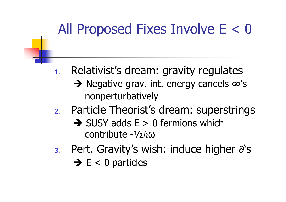### All Proposed Fixes Involve E < 0

- 1. Relativist's dream: gravity regulates
	- → Negative grav. int. energy cancels ∞'s<br>nonnerturbatively nonperturbatively
- 2. Particle Theorist's dream: superstrings
	- $\rightarrow$  SUSY adds E > 0 fermions which<br>
	contribute -1/2  $\hbar$ (1) contribute -½ $\hbar\omega$
- $\sim$   $\sim$   $\sim$ 3. Pert. Gravity's wish: induce higher ∂'s
	- $\rightarrow$  E < 0 particles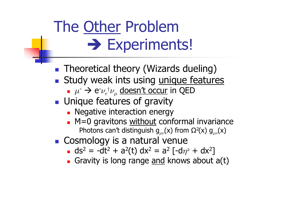# The <u>Other</u> Problem - Experiments!

- **Theoretical theory (Wizards dueling)**
- Study weak ints using <u>unique features</u><br>A  $\mu \rightarrow e \nu \pm \nu$  doesn't occur in OED
	- o,  $\mu^- \to {\rm e}^- \nu_e^+ \nu_\mu$  <u>doesn't occur</u> in QED<br>Joigue foatures of gravity
- T. **Unique features of gravity** 
	- Negative interaction energ **Negative interaction energy**
	- o, **M**=0 gravitons without conformal invariance Photons can't distinguish  $g_{\mu\nu}(x)$  from  $\Omega^2(x)$   $g_{\mu\nu}(x)$
- **Cosmology is a natural venue** 
	- $\blacksquare$  ds<sup>2</sup> = -dt<sup>2</sup> + a<sup>2</sup>(t) dx<sup>2</sup> = a<sup>2</sup> l-d **d** ds<sup>2</sup> = -dt<sup>2</sup> + a<sup>2</sup>(t) dx<sup>2</sup> = a<sup>2</sup> [-d $\eta$ <sup>2</sup> + dx<sup>2</sup>]
	- o, Gravity is long range <u>and</u> knows about a(t)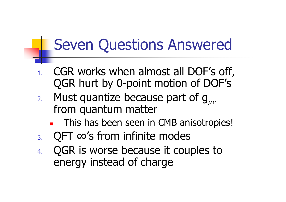### Seven Questions Answered

- 1. CGR works when almost all DOF's off, QGR hurt by 0-point motion of DOF's
- 2.. Must quantize because part of  $\mathsf{g}_{\mu\nu}$  from quantum matter
	- × This has been seen in CMB anisotropies!
- 3.QFT ∞'s from infinite modes
- 4. QGR is worse because it couples to energy instead of charge